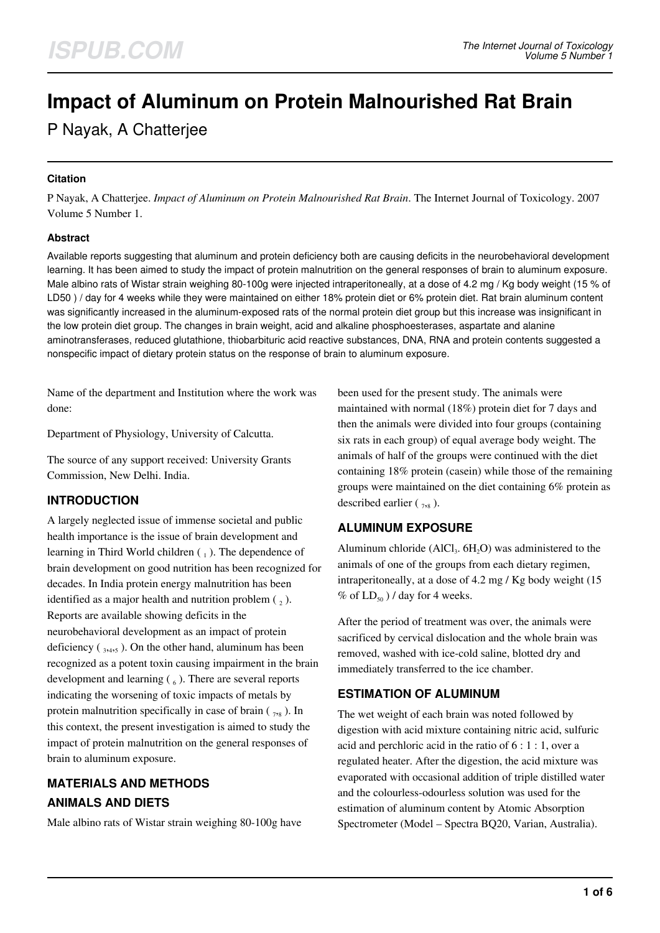# **Impact of Aluminum on Protein Malnourished Rat Brain**

P Nayak, A Chatterjee

#### **Citation**

P Nayak, A Chatterjee. *Impact of Aluminum on Protein Malnourished Rat Brain*. The Internet Journal of Toxicology. 2007 Volume 5 Number 1.

#### **Abstract**

Available reports suggesting that aluminum and protein deficiency both are causing deficits in the neurobehavioral development learning. It has been aimed to study the impact of protein malnutrition on the general responses of brain to aluminum exposure. Male albino rats of Wistar strain weighing 80-100g were injected intraperitoneally, at a dose of 4.2 mg / Kg body weight (15 % of LD50 ) / day for 4 weeks while they were maintained on either 18% protein diet or 6% protein diet. Rat brain aluminum content was significantly increased in the aluminum-exposed rats of the normal protein diet group but this increase was insignificant in the low protein diet group. The changes in brain weight, acid and alkaline phosphoesterases, aspartate and alanine aminotransferases, reduced glutathione, thiobarbituric acid reactive substances, DNA, RNA and protein contents suggested a nonspecific impact of dietary protein status on the response of brain to aluminum exposure.

Name of the department and Institution where the work was done:

Department of Physiology, University of Calcutta.

The source of any support received: University Grants Commission, New Delhi. India.

## **INTRODUCTION**

A largely neglected issue of immense societal and public health importance is the issue of brain development and learning in Third World children  $\binom{1}{1}$ . The dependence of brain development on good nutrition has been recognized for decades. In India protein energy malnutrition has been identified as a major health and nutrition problem  $\binom{1}{2}$ . Reports are available showing deficits in the neurobehavioral development as an impact of protein deficiency  $\left( \frac{1}{3,4,5} \right)$ . On the other hand, aluminum has been recognized as a potent toxin causing impairment in the brain development and learning  $(\zeta_6)$ . There are several reports indicating the worsening of toxic impacts of metals by protein malnutrition specifically in case of brain  $(\gamma, \gamma)$ . In this context, the present investigation is aimed to study the impact of protein malnutrition on the general responses of brain to aluminum exposure.

# **MATERIALS AND METHODS ANIMALS AND DIETS**

Male albino rats of Wistar strain weighing 80-100g have

been used for the present study. The animals were maintained with normal (18%) protein diet for 7 days and then the animals were divided into four groups (containing six rats in each group) of equal average body weight. The animals of half of the groups were continued with the diet containing 18% protein (casein) while those of the remaining groups were maintained on the diet containing 6% protein as described earlier  $(\gamma_{,8})$ .

# **ALUMINUM EXPOSURE**

Aluminum chloride (AlCl<sub>3</sub>.  $6H<sub>2</sub>O$ ) was administered to the animals of one of the groups from each dietary regimen, intraperitoneally, at a dose of 4.2 mg / Kg body weight (15 % of  $LD_{50}$ ) / day for 4 weeks.

After the period of treatment was over, the animals were sacrificed by cervical dislocation and the whole brain was removed, washed with ice-cold saline, blotted dry and immediately transferred to the ice chamber.

# **ESTIMATION OF ALUMINUM**

The wet weight of each brain was noted followed by digestion with acid mixture containing nitric acid, sulfuric acid and perchloric acid in the ratio of 6 : 1 : 1, over a regulated heater. After the digestion, the acid mixture was evaporated with occasional addition of triple distilled water and the colourless-odourless solution was used for the estimation of aluminum content by Atomic Absorption Spectrometer (Model – Spectra BQ20, Varian, Australia).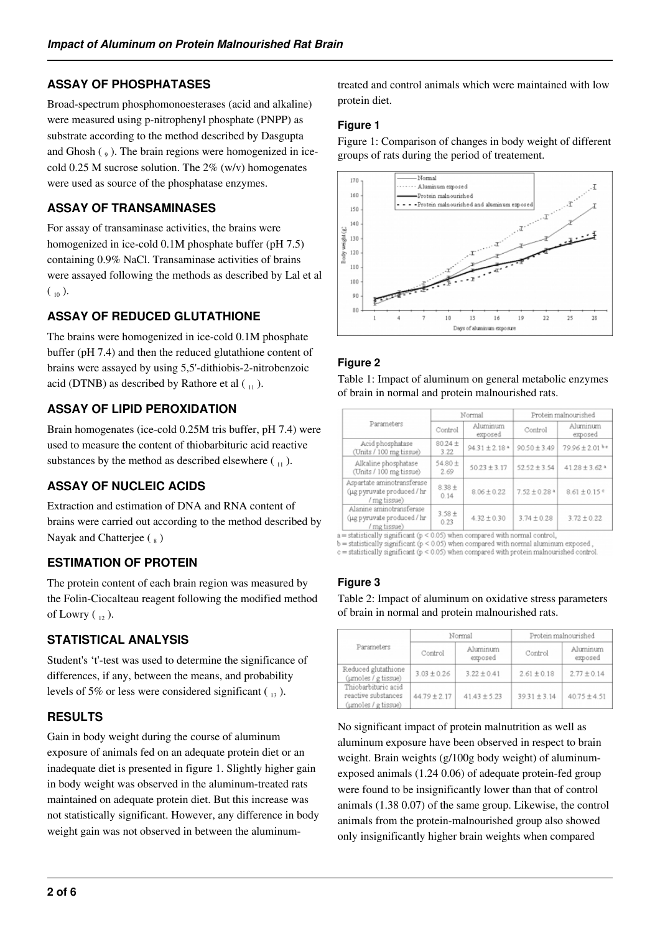# **ASSAY OF PHOSPHATASES**

Broad-spectrum phosphomonoesterases (acid and alkaline) were measured using p-nitrophenyl phosphate (PNPP) as substrate according to the method described by Dasgupta and Ghosh  $\left( \begin{smallmatrix} 0 & 1 \end{smallmatrix} \right)$ . The brain regions were homogenized in icecold 0.25 M sucrose solution. The  $2\%$  (w/v) homogenates were used as source of the phosphatase enzymes.

## **ASSAY OF TRANSAMINASES**

For assay of transaminase activities, the brains were homogenized in ice-cold 0.1M phosphate buffer (pH 7.5) containing 0.9% NaCl. Transaminase activities of brains were assayed following the methods as described by Lal et al  $\binom{10}{10}$ .

# **ASSAY OF REDUCED GLUTATHIONE**

The brains were homogenized in ice-cold 0.1M phosphate buffer (pH 7.4) and then the reduced glutathione content of brains were assayed by using 5,5'-dithiobis-2-nitrobenzoic acid (DTNB) as described by Rathore et al  $\binom{1}{11}$ .

# **ASSAY OF LIPID PEROXIDATION**

Brain homogenates (ice-cold 0.25M tris buffer, pH 7.4) were used to measure the content of thiobarbituric acid reactive substances by the method as described elsewhere  $\binom{1}{1}$ .

# **ASSAY OF NUCLEIC ACIDS**

Extraction and estimation of DNA and RNA content of brains were carried out according to the method described by Nayak and Chatterjee  $(\sqrt{s})$ 

## **ESTIMATION OF PROTEIN**

The protein content of each brain region was measured by the Folin-Ciocalteau reagent following the modified method of Lowry  $\binom{1}{12}$ .

# **STATISTICAL ANALYSIS**

Student's 't'-test was used to determine the significance of differences, if any, between the means, and probability levels of 5% or less were considered significant  $\binom{13}{12}$ .

## **RESULTS**

Gain in body weight during the course of aluminum exposure of animals fed on an adequate protein diet or an inadequate diet is presented in figure 1. Slightly higher gain in body weight was observed in the aluminum-treated rats maintained on adequate protein diet. But this increase was not statistically significant. However, any difference in body weight gain was not observed in between the aluminumtreated and control animals which were maintained with low protein diet.

#### **Figure 1**

Figure 1: Comparison of changes in body weight of different groups of rats during the period of treatement.



# **Figure 2**

Table 1: Impact of aluminum on general metabolic enzymes of brain in normal and protein malnourished rats.

| Parameters                                                               | Normal              |                     | Protein malnourished         |                               |
|--------------------------------------------------------------------------|---------------------|---------------------|------------------------------|-------------------------------|
|                                                                          | Control             | Aluminum<br>exposed | Control                      | Aluminum<br>exposed           |
| Acid phosphatase<br>(Units / 100 mg tissue)                              | $80.24 \pm$<br>3.22 | $94.31 \pm 2.18$ *  | $90.50 \pm 3.49$             | 79.96±2.01bc                  |
| Alkaline phosphatase<br>(Units / 100 mg tissue)                          | 54.80 ±<br>2.69     | $50.23 \pm 3.17$    | $52.52 \pm 3.54$             | $41.28 \pm 3.62$ <sup>a</sup> |
| Aspartate aminotransferase<br>(µg pyruvate produced / hr<br>/ mg tissue) | $8.38 +$<br>0.14    | $8.06 \pm 0.22$     | $7.52 \pm 0.28$ <sup>a</sup> | $8.61 \pm 0.15$ °             |
| Alanine aminotransferase<br>(µg pyruvate produced / hr<br>/ mg tissue)   | $3.58 +$<br>0.23    | $4.32 \pm 0.30$     | $3.74 \pm 0.28$              | $3.72 \pm 0.22$               |

 $a =$  statistically significant ( $p < 0.05$ ) when compared with normal control.

 $b =$ statistically significant  $(p < 0.05)$  when compared with normal aluminum exposed,<br>c = statistically significant  $(p < 0.05)$  when compared with protein malnourished control.

# **Figure 3**

Table 2: Impact of aluminum on oxidative stress parameters of brain in normal and protein malnourished rats.

| Parameters                                                        |                  | Normal              | Protein malnourished |                     |
|-------------------------------------------------------------------|------------------|---------------------|----------------------|---------------------|
|                                                                   | Control          | Aluminum<br>exposed | Control              | Aluminum<br>exposed |
| Reduced glutathione<br>(umoles / g tissue)                        | $3.03 \pm 0.26$  | $3.22 \pm 0.41$     | $2.61 \pm 0.18$      | $2.77 \pm 0.14$     |
| Thiobarbituric acid<br>reactive substances<br>(umoles / g tissue) | $44.79 \pm 2.17$ | $41.43 \pm 5.23$    | $39.31 \pm 3.14$     | $40.75 \pm 4.51$    |

No significant impact of protein malnutrition as well as aluminum exposure have been observed in respect to brain weight. Brain weights (g/100g body weight) of aluminumexposed animals (1.24 0.06) of adequate protein-fed group were found to be insignificantly lower than that of control animals (1.38 0.07) of the same group. Likewise, the control animals from the protein-malnourished group also showed only insignificantly higher brain weights when compared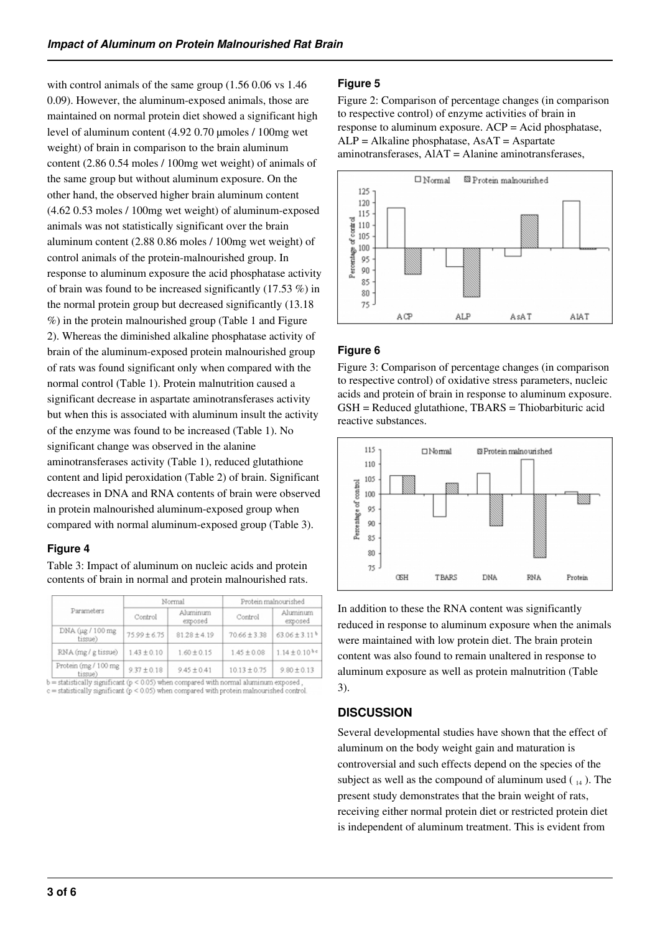with control animals of the same group (1.56 0.06 vs 1.46 0.09). However, the aluminum-exposed animals, those are maintained on normal protein diet showed a significant high level of aluminum content (4.92 0.70 µmoles / 100mg wet weight) of brain in comparison to the brain aluminum content (2.86 0.54 moles / 100mg wet weight) of animals of the same group but without aluminum exposure. On the other hand, the observed higher brain aluminum content (4.62 0.53 moles / 100mg wet weight) of aluminum-exposed animals was not statistically significant over the brain aluminum content (2.88 0.86 moles / 100mg wet weight) of control animals of the protein-malnourished group. In response to aluminum exposure the acid phosphatase activity of brain was found to be increased significantly (17.53 %) in the normal protein group but decreased significantly (13.18 %) in the protein malnourished group (Table 1 and Figure 2). Whereas the diminished alkaline phosphatase activity of brain of the aluminum-exposed protein malnourished group of rats was found significant only when compared with the normal control (Table 1). Protein malnutrition caused a significant decrease in aspartate aminotransferases activity but when this is associated with aluminum insult the activity of the enzyme was found to be increased (Table 1). No significant change was observed in the alanine aminotransferases activity (Table 1), reduced glutathione content and lipid peroxidation (Table 2) of brain. Significant decreases in DNA and RNA contents of brain were observed in protein malnourished aluminum-exposed group when compared with normal aluminum-exposed group (Table 3).

#### **Figure 4**

Table 3: Impact of aluminum on nucleic acids and protein contents of brain in normal and protein malnourished rats.

|  | Parameters                       | Normal           |                     | Protein malnourished |                               |
|--|----------------------------------|------------------|---------------------|----------------------|-------------------------------|
|  |                                  | Control          | Aluminum<br>exposed | Control              | Aluminum<br>exposed           |
|  | DNA (µg / 100 mg<br>tissue)      | $75.99 \pm 6.75$ | $81.28 \pm 4.19$    | $70.66 \pm 3.38$     | $63.06 \pm 3.11$ <sup>b</sup> |
|  | $RNA$ (mg / g tissue)            | $1.43 \pm 0.10$  | $1.60 \pm 0.15$     | $1.45 \pm 0.08$      | $1.14 \pm 0.10^{b}$ c         |
|  | Protein (mg / 100 mg<br>(Arrest) | $9.37 \pm 0.18$  | $9.45 \pm 0.41$     | $10.13 \pm 0.75$     | $9.80 \pm 0.13$               |

 $b = statistically significant (p < 0.05)$  when compared with normal aluminum exposed, c = statistically significant (p < 0.05) when compared with protein malnourished control.

## **Figure 5**

Figure 2: Comparison of percentage changes (in comparison to respective control) of enzyme activities of brain in response to aluminum exposure. ACP = Acid phosphatase,  $ALP = Alkaline phosphatase, AsAT = Aspartate$ aminotransferases, AlAT = Alanine aminotransferases,



## **Figure 6**

Figure 3: Comparison of percentage changes (in comparison to respective control) of oxidative stress parameters, nucleic acids and protein of brain in response to aluminum exposure. GSH = Reduced glutathione, TBARS = Thiobarbituric acid reactive substances.



In addition to these the RNA content was significantly reduced in response to aluminum exposure when the animals were maintained with low protein diet. The brain protein content was also found to remain unaltered in response to aluminum exposure as well as protein malnutrition (Table 3).

# **DISCUSSION**

Several developmental studies have shown that the effect of aluminum on the body weight gain and maturation is controversial and such effects depend on the species of the subject as well as the compound of aluminum used  $\binom{14}{14}$ . The present study demonstrates that the brain weight of rats, receiving either normal protein diet or restricted protein diet is independent of aluminum treatment. This is evident from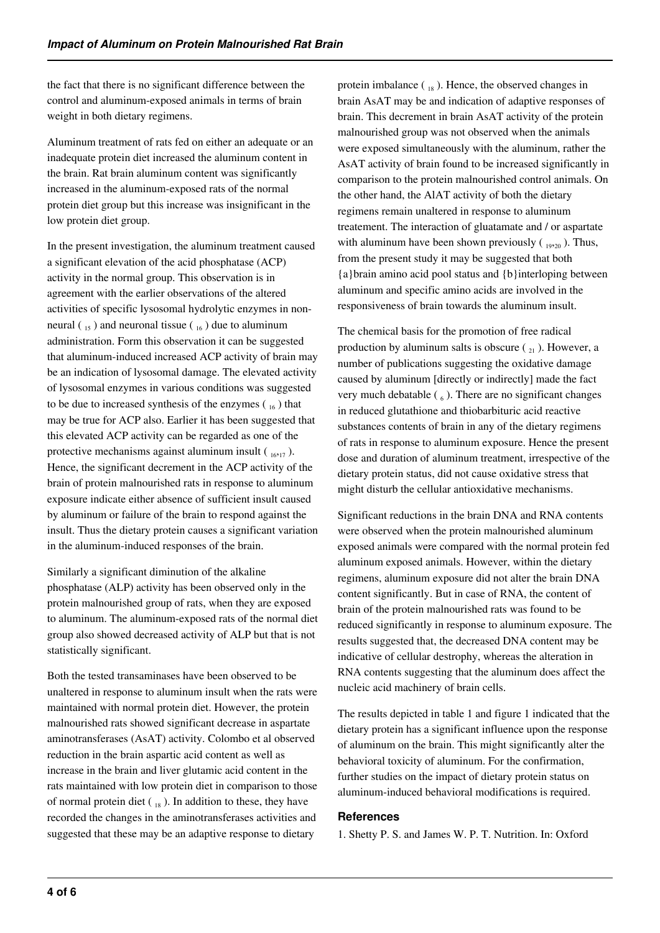the fact that there is no significant difference between the control and aluminum-exposed animals in terms of brain weight in both dietary regimens.

Aluminum treatment of rats fed on either an adequate or an inadequate protein diet increased the aluminum content in the brain. Rat brain aluminum content was significantly increased in the aluminum-exposed rats of the normal protein diet group but this increase was insignificant in the low protein diet group.

In the present investigation, the aluminum treatment caused a significant elevation of the acid phosphatase (ACP) activity in the normal group. This observation is in agreement with the earlier observations of the altered activities of specific lysosomal hydrolytic enzymes in nonneural  $\binom{15}{15}$  and neuronal tissue  $\binom{16}{16}$  due to aluminum administration. Form this observation it can be suggested that aluminum-induced increased ACP activity of brain may be an indication of lysosomal damage. The elevated activity of lysosomal enzymes in various conditions was suggested to be due to increased synthesis of the enzymes  $\binom{16}{16}$  that may be true for ACP also. Earlier it has been suggested that this elevated ACP activity can be regarded as one of the protective mechanisms against aluminum insult  $\left( \begin{array}{c} 16,17 \end{array} \right)$ . Hence, the significant decrement in the ACP activity of the brain of protein malnourished rats in response to aluminum exposure indicate either absence of sufficient insult caused by aluminum or failure of the brain to respond against the insult. Thus the dietary protein causes a significant variation in the aluminum-induced responses of the brain.

Similarly a significant diminution of the alkaline phosphatase (ALP) activity has been observed only in the protein malnourished group of rats, when they are exposed to aluminum. The aluminum-exposed rats of the normal diet group also showed decreased activity of ALP but that is not statistically significant.

Both the tested transaminases have been observed to be unaltered in response to aluminum insult when the rats were maintained with normal protein diet. However, the protein malnourished rats showed significant decrease in aspartate aminotransferases (AsAT) activity. Colombo et al observed reduction in the brain aspartic acid content as well as increase in the brain and liver glutamic acid content in the rats maintained with low protein diet in comparison to those of normal protein diet  $\binom{18}{18}$ . In addition to these, they have recorded the changes in the aminotransferases activities and suggested that these may be an adaptive response to dietary

protein imbalance  $\binom{18}{18}$ . Hence, the observed changes in brain AsAT may be and indication of adaptive responses of brain. This decrement in brain AsAT activity of the protein malnourished group was not observed when the animals were exposed simultaneously with the aluminum, rather the AsAT activity of brain found to be increased significantly in comparison to the protein malnourished control animals. On the other hand, the AlAT activity of both the dietary regimens remain unaltered in response to aluminum treatement. The interaction of gluatamate and / or aspartate with aluminum have been shown previously  $\left( \begin{array}{c} 19,20 \end{array} \right)$ . Thus, from the present study it may be suggested that both {a}brain amino acid pool status and {b}interloping between aluminum and specific amino acids are involved in the responsiveness of brain towards the aluminum insult.

The chemical basis for the promotion of free radical production by aluminum salts is obscure  $\binom{1}{2}$ . However, a number of publications suggesting the oxidative damage caused by aluminum [directly or indirectly] made the fact very much debatable  $(\epsilon_6)$ . There are no significant changes in reduced glutathione and thiobarbituric acid reactive substances contents of brain in any of the dietary regimens of rats in response to aluminum exposure. Hence the present dose and duration of aluminum treatment, irrespective of the dietary protein status, did not cause oxidative stress that might disturb the cellular antioxidative mechanisms.

Significant reductions in the brain DNA and RNA contents were observed when the protein malnourished aluminum exposed animals were compared with the normal protein fed aluminum exposed animals. However, within the dietary regimens, aluminum exposure did not alter the brain DNA content significantly. But in case of RNA, the content of brain of the protein malnourished rats was found to be reduced significantly in response to aluminum exposure. The results suggested that, the decreased DNA content may be indicative of cellular destrophy, whereas the alteration in RNA contents suggesting that the aluminum does affect the nucleic acid machinery of brain cells.

The results depicted in table 1 and figure 1 indicated that the dietary protein has a significant influence upon the response of aluminum on the brain. This might significantly alter the behavioral toxicity of aluminum. For the confirmation, further studies on the impact of dietary protein status on aluminum-induced behavioral modifications is required.

#### **References**

1. Shetty P. S. and James W. P. T. Nutrition. In: Oxford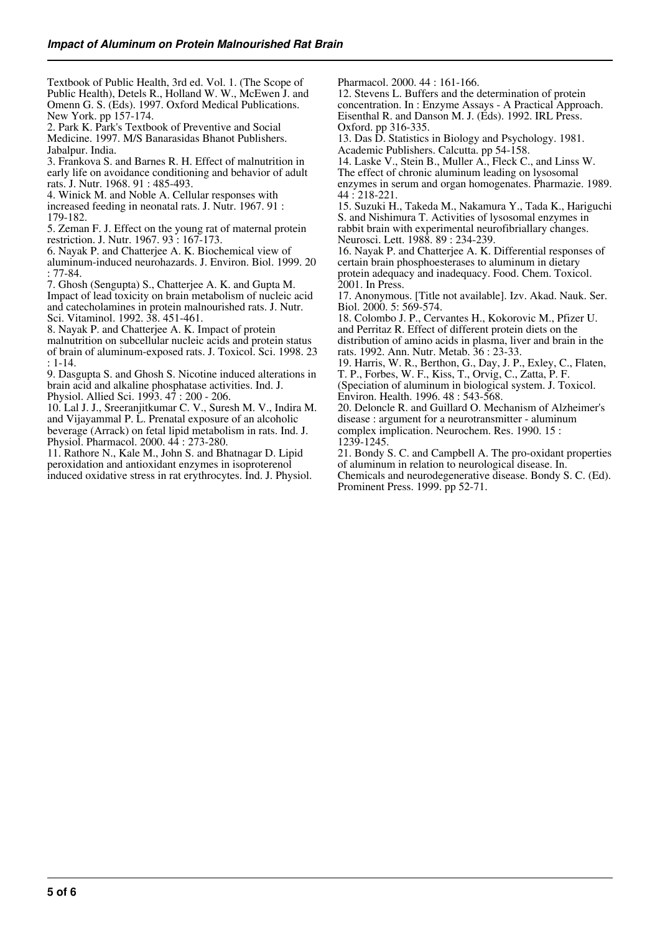Textbook of Public Health, 3rd ed. Vol. 1. (The Scope of Public Health), Detels R., Holland W. W., McEwen J. and Omenn G. S. (Eds). 1997. Oxford Medical Publications. New York. pp 157-174.

2. Park K. Park's Textbook of Preventive and Social Medicine. 1997. M/S Banarasidas Bhanot Publishers. Jabalpur. India.

3. Frankova S. and Barnes R. H. Effect of malnutrition in early life on avoidance conditioning and behavior of adult rats. J. Nutr. 1968. 91 : 485-493.

4. Winick M. and Noble A. Cellular responses with increased feeding in neonatal rats. J. Nutr. 1967. 91 :

179-182.

5. Zeman F. J. Effect on the young rat of maternal protein restriction. J. Nutr. 1967. 93 : 167-173.

6. Nayak P. and Chatterjee A. K. Biochemical view of aluminum-induced neurohazards. J. Environ. Biol. 1999. 20 : 77-84.

7. Ghosh (Sengupta) S., Chatterjee A. K. and Gupta M.

Impact of lead toxicity on brain metabolism of nucleic acid and catecholamines in protein malnourished rats. J. Nutr. Sci. Vitaminol. 1992. 38. 451-461.

8. Nayak P. and Chatterjee A. K. Impact of protein

malnutrition on subcellular nucleic acids and protein status of brain of aluminum-exposed rats. J. Toxicol. Sci. 1998. 23 : 1-14.

9. Dasgupta S. and Ghosh S. Nicotine induced alterations in brain acid and alkaline phosphatase activities. Ind. J. Physiol. Allied Sci. 1993. 47 : 200 - 206.

10. Lal J. J., Sreeranjitkumar C. V., Suresh M. V., Indira M. and Vijayammal P. L. Prenatal exposure of an alcoholic beverage (Arrack) on fetal lipid metabolism in rats. Ind. J. Physiol. Pharmacol. 2000. 44 : 273-280.

11. Rathore N., Kale M., John S. and Bhatnagar D. Lipid peroxidation and antioxidant enzymes in isoproterenol induced oxidative stress in rat erythrocytes. Ind. J. Physiol. Pharmacol. 2000. 44 : 161-166.

12. Stevens L. Buffers and the determination of protein concentration. In : Enzyme Assays - A Practical Approach. Eisenthal R. and Danson M. J. (Eds). 1992. IRL Press. Oxford. pp 316-335.

13. Das D. Statistics in Biology and Psychology. 1981. Academic Publishers. Calcutta. pp 54-158.

14. Laske V., Stein B., Muller A., Fleck C., and Linss W. The effect of chronic aluminum leading on lysosomal enzymes in serum and organ homogenates. Pharmazie. 1989. 44 : 218-221.

15. Suzuki H., Takeda M., Nakamura Y., Tada K., Hariguchi S. and Nishimura T. Activities of lysosomal enzymes in rabbit brain with experimental neurofibriallary changes. Neurosci. Lett. 1988. 89 : 234-239.

16. Nayak P. and Chatterjee A. K. Differential responses of certain brain phosphoesterases to aluminum in dietary protein adequacy and inadequacy. Food. Chem. Toxicol. 2001. In Press.

17. Anonymous. [Title not available]. Izv. Akad. Nauk. Ser. Biol. 2000. 5: 569-574.

18. Colombo J. P., Cervantes H., Kokorovic M., Pfizer U. and Perritaz R. Effect of different protein diets on the distribution of amino acids in plasma, liver and brain in the rats. 1992. Ann. Nutr. Metab. 36 : 23-33.

19. Harris, W. R., Berthon, G., Day, J. P., Exley, C., Flaten, T. P., Forbes, W. F., Kiss, T., Orvig, C., Zatta, P. F. (Speciation of aluminum in biological system. J. Toxicol.

Environ. Health. 1996. 48 : 543-568. 20. Deloncle R. and Guillard O. Mechanism of Alzheimer's

disease : argument for a neurotransmitter - aluminum complex implication. Neurochem. Res. 1990. 15 : 1239-1245.

21. Bondy S. C. and Campbell A. The pro-oxidant properties of aluminum in relation to neurological disease. In. Chemicals and neurodegenerative disease. Bondy S. C. (Ed). Prominent Press. 1999. pp 52-71.